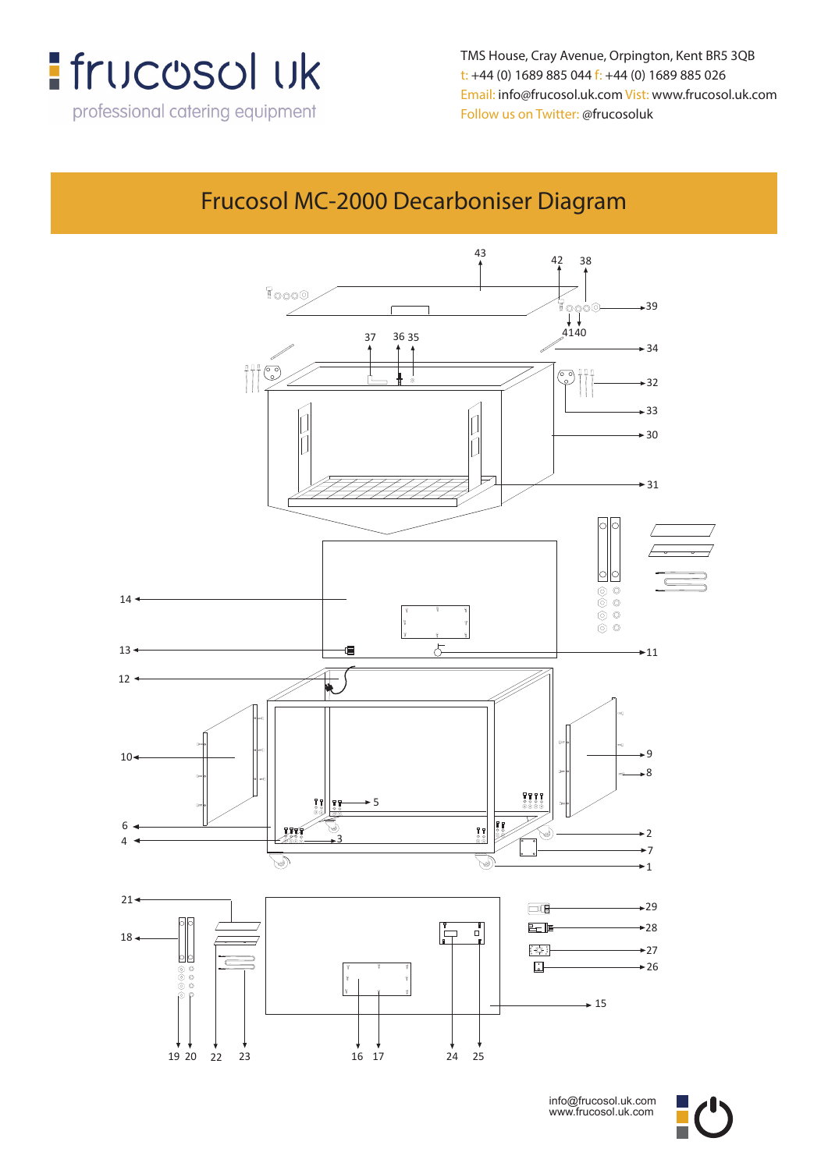

**t: +44 (0) 1689 885 044 f: +44 (0) 1689 885 026** TMS House, Cray Avenue, Orpington, Kent BR5 3QB **t**: +44 (0) 1689 885 044 f: +44 (0) 1689 885 026 Email: info@frucosol.uk.com Vist: www.frucosol.uk.com Follow us on Twitter: @frucosoluk

## Frucosol MC-2000 Decarboniser Diagram

**Frucosol MC-1000 Decarboniser Diagram**